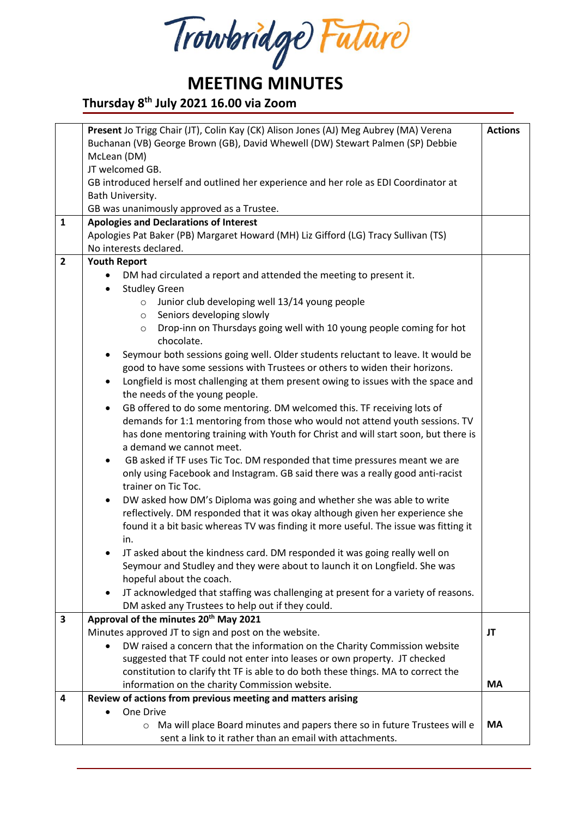Trowbridge Future

### **Thursday 8 th July 2021 16.00 via Zoom**

|                         | Present Jo Trigg Chair (JT), Colin Kay (CK) Alison Jones (AJ) Meg Aubrey (MA) Verena            | <b>Actions</b> |  |  |  |
|-------------------------|-------------------------------------------------------------------------------------------------|----------------|--|--|--|
|                         |                                                                                                 |                |  |  |  |
|                         | Buchanan (VB) George Brown (GB), David Whewell (DW) Stewart Palmen (SP) Debbie                  |                |  |  |  |
|                         | McLean (DM)                                                                                     |                |  |  |  |
|                         | JT welcomed GB.                                                                                 |                |  |  |  |
|                         | GB introduced herself and outlined her experience and her role as EDI Coordinator at            |                |  |  |  |
|                         | Bath University.                                                                                |                |  |  |  |
|                         | GB was unanimously approved as a Trustee.                                                       |                |  |  |  |
| 1                       | <b>Apologies and Declarations of Interest</b>                                                   |                |  |  |  |
|                         | Apologies Pat Baker (PB) Margaret Howard (MH) Liz Gifford (LG) Tracy Sullivan (TS)              |                |  |  |  |
|                         | No interests declared.                                                                          |                |  |  |  |
| $\overline{2}$          | <b>Youth Report</b>                                                                             |                |  |  |  |
|                         | DM had circulated a report and attended the meeting to present it.                              |                |  |  |  |
|                         | <b>Studley Green</b>                                                                            |                |  |  |  |
|                         | Junior club developing well 13/14 young people<br>$\circ$                                       |                |  |  |  |
|                         | Seniors developing slowly<br>$\circ$                                                            |                |  |  |  |
|                         | Drop-inn on Thursdays going well with 10 young people coming for hot<br>$\circ$                 |                |  |  |  |
|                         | chocolate.                                                                                      |                |  |  |  |
|                         | Seymour both sessions going well. Older students reluctant to leave. It would be                |                |  |  |  |
|                         | good to have some sessions with Trustees or others to widen their horizons.                     |                |  |  |  |
|                         | Longfield is most challenging at them present owing to issues with the space and<br>$\bullet$   |                |  |  |  |
|                         | the needs of the young people.                                                                  |                |  |  |  |
|                         | GB offered to do some mentoring. DM welcomed this. TF receiving lots of<br>$\bullet$            |                |  |  |  |
|                         | demands for 1:1 mentoring from those who would not attend youth sessions. TV                    |                |  |  |  |
|                         | has done mentoring training with Youth for Christ and will start soon, but there is             |                |  |  |  |
|                         | a demand we cannot meet.                                                                        |                |  |  |  |
|                         | GB asked if TF uses Tic Toc. DM responded that time pressures meant we are<br>$\bullet$         |                |  |  |  |
|                         | only using Facebook and Instagram. GB said there was a really good anti-racist                  |                |  |  |  |
|                         | trainer on Tic Toc.                                                                             |                |  |  |  |
|                         |                                                                                                 |                |  |  |  |
|                         | DW asked how DM's Diploma was going and whether she was able to write<br>$\bullet$              |                |  |  |  |
|                         | reflectively. DM responded that it was okay although given her experience she                   |                |  |  |  |
|                         | found it a bit basic whereas TV was finding it more useful. The issue was fitting it            |                |  |  |  |
|                         | in.                                                                                             |                |  |  |  |
|                         | JT asked about the kindness card. DM responded it was going really well on                      |                |  |  |  |
|                         | Seymour and Studley and they were about to launch it on Longfield. She was                      |                |  |  |  |
|                         | hopeful about the coach.                                                                        |                |  |  |  |
|                         | JT acknowledged that staffing was challenging at present for a variety of reasons.<br>$\bullet$ |                |  |  |  |
|                         | DM asked any Trustees to help out if they could.                                                |                |  |  |  |
| $\overline{\mathbf{3}}$ | Approval of the minutes 20 <sup>th</sup> May 2021                                               |                |  |  |  |
|                         | Minutes approved JT to sign and post on the website.                                            | JT             |  |  |  |
|                         | DW raised a concern that the information on the Charity Commission website                      |                |  |  |  |
|                         | suggested that TF could not enter into leases or own property. JT checked                       |                |  |  |  |
|                         | constitution to clarify tht TF is able to do both these things. MA to correct the               |                |  |  |  |
|                         | information on the charity Commission website.                                                  | <b>MA</b>      |  |  |  |
| 4                       | Review of actions from previous meeting and matters arising                                     |                |  |  |  |
|                         | One Drive                                                                                       |                |  |  |  |
|                         | Ma will place Board minutes and papers there so in future Trustees will e<br>$\circ$            | MA             |  |  |  |
|                         | sent a link to it rather than an email with attachments.                                        |                |  |  |  |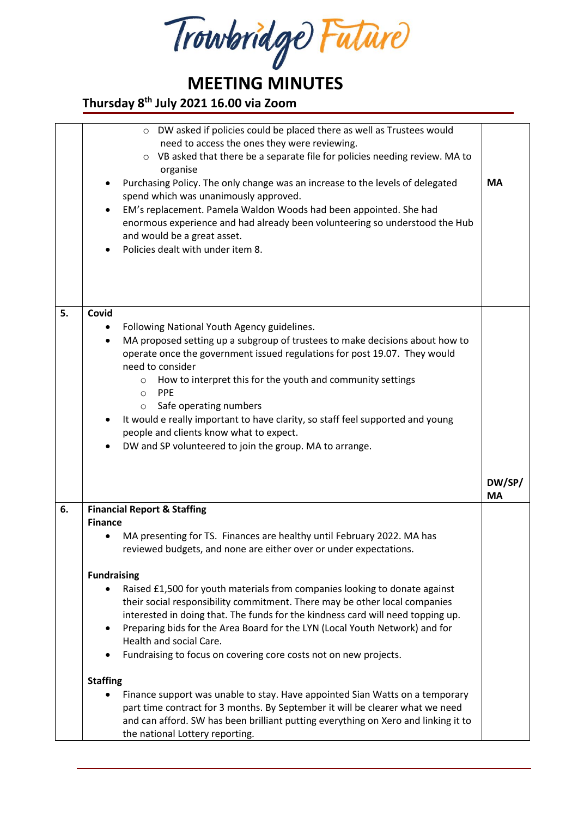Trowbridge Future

#### **Thursday 8 th July 2021 16.00 via Zoom**

|    | DW asked if policies could be placed there as well as Trustees would<br>$\circ$<br>need to access the ones they were reviewing.<br>VB asked that there be a separate file for policies needing review. MA to<br>$\circ$<br>organise<br>Purchasing Policy. The only change was an increase to the levels of delegated<br>spend which was unanimously approved.<br>EM's replacement. Pamela Waldon Woods had been appointed. She had<br>$\bullet$<br>enormous experience and had already been volunteering so understood the Hub<br>and would be a great asset.<br>Policies dealt with under item 8. | <b>MA</b>           |  |
|----|----------------------------------------------------------------------------------------------------------------------------------------------------------------------------------------------------------------------------------------------------------------------------------------------------------------------------------------------------------------------------------------------------------------------------------------------------------------------------------------------------------------------------------------------------------------------------------------------------|---------------------|--|
| 5. | Covid<br>Following National Youth Agency guidelines.<br>٠<br>MA proposed setting up a subgroup of trustees to make decisions about how to<br>$\bullet$<br>operate once the government issued regulations for post 19.07. They would<br>need to consider<br>How to interpret this for the youth and community settings<br>$\circ$<br><b>PPE</b><br>$\circ$<br>Safe operating numbers<br>$\circ$<br>It would e really important to have clarity, so staff feel supported and young<br>people and clients know what to expect.<br>DW and SP volunteered to join the group. MA to arrange.             |                     |  |
|    |                                                                                                                                                                                                                                                                                                                                                                                                                                                                                                                                                                                                    | DW/SP/<br><b>MA</b> |  |
| 6. | <b>Financial Report &amp; Staffing</b>                                                                                                                                                                                                                                                                                                                                                                                                                                                                                                                                                             |                     |  |
|    | <b>Finance</b>                                                                                                                                                                                                                                                                                                                                                                                                                                                                                                                                                                                     |                     |  |
|    | MA presenting for TS. Finances are healthy until February 2022. MA has<br>reviewed budgets, and none are either over or under expectations.                                                                                                                                                                                                                                                                                                                                                                                                                                                        |                     |  |
|    | <b>Fundraising</b>                                                                                                                                                                                                                                                                                                                                                                                                                                                                                                                                                                                 |                     |  |
|    | Raised £1,500 for youth materials from companies looking to donate against<br>their social responsibility commitment. There may be other local companies<br>interested in doing that. The funds for the kindness card will need topping up.<br>Preparing bids for the Area Board for the LYN (Local Youth Network) and for<br>$\bullet$                                                                                                                                                                                                                                                            |                     |  |
|    | Health and social Care.                                                                                                                                                                                                                                                                                                                                                                                                                                                                                                                                                                            |                     |  |
|    | Fundraising to focus on covering core costs not on new projects.                                                                                                                                                                                                                                                                                                                                                                                                                                                                                                                                   |                     |  |
|    | <b>Staffing</b>                                                                                                                                                                                                                                                                                                                                                                                                                                                                                                                                                                                    |                     |  |
|    | Finance support was unable to stay. Have appointed Sian Watts on a temporary<br>part time contract for 3 months. By September it will be clearer what we need<br>and can afford. SW has been brilliant putting everything on Xero and linking it to<br>the national Lottery reporting.                                                                                                                                                                                                                                                                                                             |                     |  |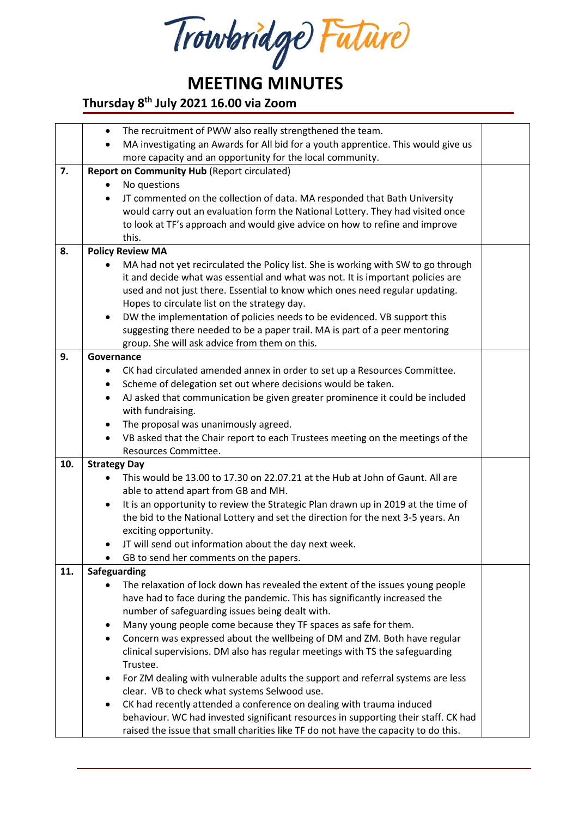Trowbridge Future

### **Thursday 8 th July 2021 16.00 via Zoom**

|     | The recruitment of PWW also really strengthened the team.<br>$\bullet$                      |  |  |  |
|-----|---------------------------------------------------------------------------------------------|--|--|--|
|     | MA investigating an Awards for All bid for a youth apprentice. This would give us           |  |  |  |
|     | more capacity and an opportunity for the local community.                                   |  |  |  |
| 7.  | <b>Report on Community Hub (Report circulated)</b>                                          |  |  |  |
|     | No questions                                                                                |  |  |  |
|     | JT commented on the collection of data. MA responded that Bath University                   |  |  |  |
|     | would carry out an evaluation form the National Lottery. They had visited once              |  |  |  |
|     | to look at TF's approach and would give advice on how to refine and improve                 |  |  |  |
|     | this.                                                                                       |  |  |  |
| 8.  | <b>Policy Review MA</b>                                                                     |  |  |  |
|     | MA had not yet recirculated the Policy list. She is working with SW to go through           |  |  |  |
|     | it and decide what was essential and what was not. It is important policies are             |  |  |  |
|     | used and not just there. Essential to know which ones need regular updating.                |  |  |  |
|     | Hopes to circulate list on the strategy day.                                                |  |  |  |
|     | DW the implementation of policies needs to be evidenced. VB support this                    |  |  |  |
|     | suggesting there needed to be a paper trail. MA is part of a peer mentoring                 |  |  |  |
|     | group. She will ask advice from them on this.                                               |  |  |  |
| 9.  | Governance                                                                                  |  |  |  |
|     | CK had circulated amended annex in order to set up a Resources Committee.                   |  |  |  |
|     | Scheme of delegation set out where decisions would be taken.                                |  |  |  |
|     | AJ asked that communication be given greater prominence it could be included<br>$\bullet$   |  |  |  |
|     | with fundraising.                                                                           |  |  |  |
|     | The proposal was unanimously agreed.<br>٠                                                   |  |  |  |
|     | VB asked that the Chair report to each Trustees meeting on the meetings of the<br>$\bullet$ |  |  |  |
|     | Resources Committee.                                                                        |  |  |  |
| 10. | <b>Strategy Day</b>                                                                         |  |  |  |
|     | This would be 13.00 to 17.30 on 22.07.21 at the Hub at John of Gaunt. All are               |  |  |  |
|     | able to attend apart from GB and MH.                                                        |  |  |  |
|     | It is an opportunity to review the Strategic Plan drawn up in 2019 at the time of<br>٠      |  |  |  |
|     | the bid to the National Lottery and set the direction for the next 3-5 years. An            |  |  |  |
|     | exciting opportunity.                                                                       |  |  |  |
|     | JT will send out information about the day next week.                                       |  |  |  |
|     | GB to send her comments on the papers.                                                      |  |  |  |
| 11. | Safeguarding                                                                                |  |  |  |
|     | The relaxation of lock down has revealed the extent of the issues young people              |  |  |  |
|     | have had to face during the pandemic. This has significantly increased the                  |  |  |  |
|     | number of safeguarding issues being dealt with.                                             |  |  |  |
|     | Many young people come because they TF spaces as safe for them.<br>٠                        |  |  |  |
|     | Concern was expressed about the wellbeing of DM and ZM. Both have regular                   |  |  |  |
|     | clinical supervisions. DM also has regular meetings with TS the safeguarding                |  |  |  |
|     | Trustee.                                                                                    |  |  |  |
|     | For ZM dealing with vulnerable adults the support and referral systems are less<br>٠        |  |  |  |
|     | clear. VB to check what systems Selwood use.                                                |  |  |  |
|     | CK had recently attended a conference on dealing with trauma induced<br>$\bullet$           |  |  |  |
|     | behaviour. WC had invested significant resources in supporting their staff. CK had          |  |  |  |
|     | raised the issue that small charities like TF do not have the capacity to do this.          |  |  |  |